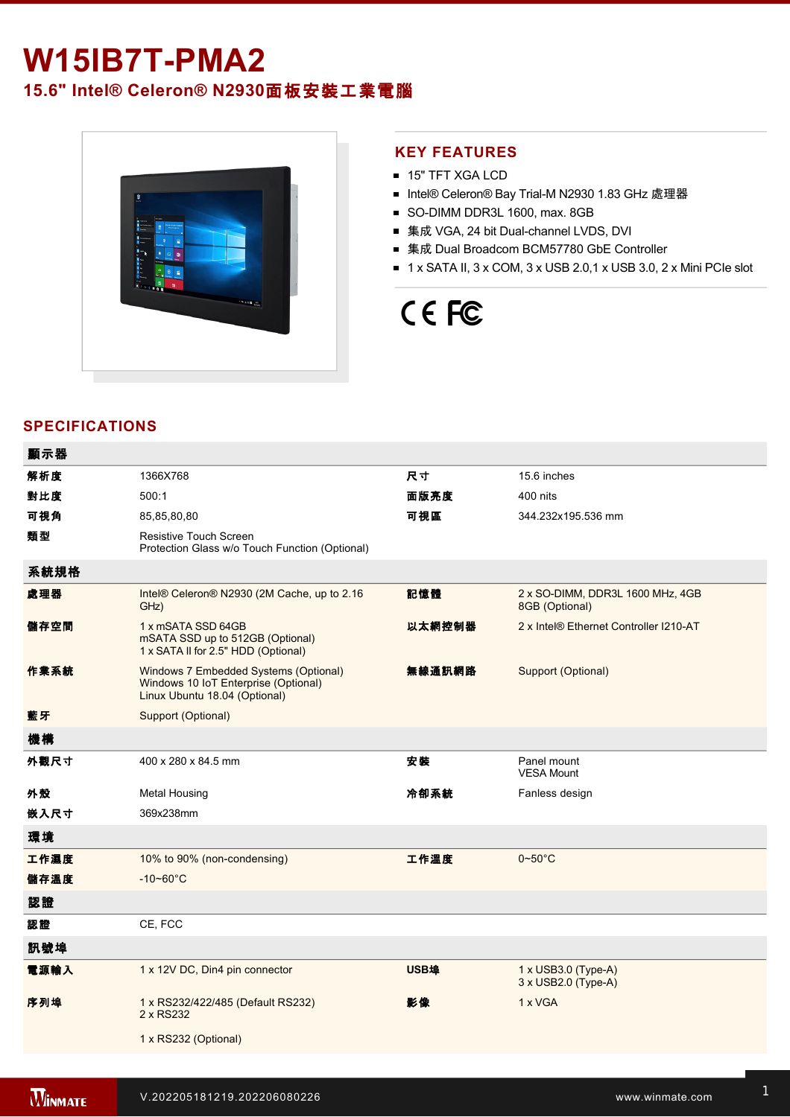## **W15IB7T-PMA2**

### **15.6" Intel® Celeron® N2930**面板安裝工業電腦



### **KEY FEATURES**

- 15" TFT XGA LCD
- Intel® Celeron® Bay Trial-M N2930 1.83 GHz 處理器
- SO-DIMM DDR3L 1600, max. 8GB
- 集成 VGA, 24 bit Dual-channel LVDS, DVI
- 集成 Dual Broadcom BCM57780 GbE Controller
- $\blacksquare$  1 x SATA II, 3 x COM, 3 x USB 2.0,1 x USB 3.0, 2 x Mini PCIe slot

# CE FC

### **SPECIFICATIONS**

| 顯示器  |                                                                                                                |        |                                                          |
|------|----------------------------------------------------------------------------------------------------------------|--------|----------------------------------------------------------|
| 解析度  | 1366X768                                                                                                       | 尺寸     | 15.6 inches                                              |
| 對比度  | 500:1                                                                                                          | 面版亮度   | 400 nits                                                 |
| 可視角  | 85,85,80,80                                                                                                    | 可視區    | 344.232x195.536 mm                                       |
| 類型   | <b>Resistive Touch Screen</b><br>Protection Glass w/o Touch Function (Optional)                                |        |                                                          |
| 系統規格 |                                                                                                                |        |                                                          |
| 處理器  | Intel® Celeron® N2930 (2M Cache, up to 2.16)<br>GHz)                                                           | 記憶體    | 2 x SO-DIMM, DDR3L 1600 MHz, 4GB<br>8GB (Optional)       |
| 儲存空間 | 1 x mSATA SSD 64GB<br>mSATA SSD up to 512GB (Optional)<br>1 x SATA II for 2.5" HDD (Optional)                  | 以太網控制器 | 2 x Intel® Ethernet Controller I210-AT                   |
| 作業系統 | Windows 7 Embedded Systems (Optional)<br>Windows 10 IoT Enterprise (Optional)<br>Linux Ubuntu 18.04 (Optional) | 無線通訊網路 | Support (Optional)                                       |
| 藍牙   | Support (Optional)                                                                                             |        |                                                          |
| 機構   |                                                                                                                |        |                                                          |
| 外觀尺寸 | 400 x 280 x 84.5 mm                                                                                            | 安裝     | Panel mount<br><b>VESA Mount</b>                         |
| 外殼   | <b>Metal Housing</b>                                                                                           | 冷卻系統   | Fanless design                                           |
| 嵌入尺寸 | 369x238mm                                                                                                      |        |                                                          |
| 環境   |                                                                                                                |        |                                                          |
| 工作濕度 | 10% to 90% (non-condensing)                                                                                    | 工作溫度   | $0 - 50^{\circ}$ C                                       |
| 儲存溫度 | $-10 - 60^{\circ}$ C                                                                                           |        |                                                          |
| 認證   |                                                                                                                |        |                                                          |
| 認證   | CE, FCC                                                                                                        |        |                                                          |
| 訊號埠  |                                                                                                                |        |                                                          |
| 電源輸入 | 1 x 12V DC, Din4 pin connector                                                                                 | USB埠   | $1 \times$ USB3.0 (Type-A)<br>$3 \times$ USB2.0 (Type-A) |
| 序列埠  | 1 x RS232/422/485 (Default RS232)<br>2 x RS232                                                                 | 影像     | 1 x VGA                                                  |
|      | 1 x RS232 (Optional)                                                                                           |        |                                                          |
|      |                                                                                                                |        |                                                          |

Line in

1 x Led indicator for storage and storage in the storage storage in the storage storage in the storage storage